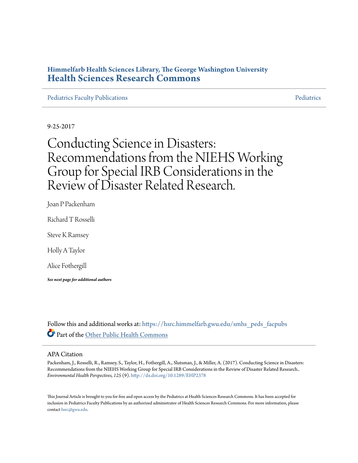# **Himmelfarb Health Sciences Library, The George Washington University [Health Sciences Research Commons](https://hsrc.himmelfarb.gwu.edu?utm_source=hsrc.himmelfarb.gwu.edu%2Fsmhs_peds_facpubs%2F2126&utm_medium=PDF&utm_campaign=PDFCoverPages)**

[Pediatrics Faculty Publications](https://hsrc.himmelfarb.gwu.edu/smhs_peds_facpubs?utm_source=hsrc.himmelfarb.gwu.edu%2Fsmhs_peds_facpubs%2F2126&utm_medium=PDF&utm_campaign=PDFCoverPages) **[Pediatrics](https://hsrc.himmelfarb.gwu.edu/smhs_peds?utm_source=hsrc.himmelfarb.gwu.edu%2Fsmhs_peds_facpubs%2F2126&utm_medium=PDF&utm_campaign=PDFCoverPages)** Pediatrics Pediatrics **Pediatrics** 

9-25-2017

# Conducting Science in Disasters: Recommendations from the NIEHS Working Group for Special IRB Considerations in the Review of Disaster Related Research.

Joan P Packenham

Richard T Rosselli

Steve K Ramsey

Holly A Taylor

Alice Fothergill

*See next page for additional authors*

Follow this and additional works at: [https://hsrc.himmelfarb.gwu.edu/smhs\\_peds\\_facpubs](https://hsrc.himmelfarb.gwu.edu/smhs_peds_facpubs?utm_source=hsrc.himmelfarb.gwu.edu%2Fsmhs_peds_facpubs%2F2126&utm_medium=PDF&utm_campaign=PDFCoverPages) Part of the [Other Public Health Commons](http://network.bepress.com/hgg/discipline/748?utm_source=hsrc.himmelfarb.gwu.edu%2Fsmhs_peds_facpubs%2F2126&utm_medium=PDF&utm_campaign=PDFCoverPages)

### APA Citation

Packenham, J., Rosselli, R., Ramsey, S., Taylor, H., Fothergill, A., Slutsman, J., & Miller, A. (2017). Conducting Science in Disasters: Recommendations from the NIEHS Working Group for Special IRB Considerations in the Review of Disaster Related Research.. *Environmental Health Perspectives, 125* (9). <http://dx.doi.org/10.1289/EHP2378>

This Journal Article is brought to you for free and open access by the Pediatrics at Health Sciences Research Commons. It has been accepted for inclusion in Pediatrics Faculty Publications by an authorized administrator of Health Sciences Research Commons. For more information, please contact [hsrc@gwu.edu](mailto:hsrc@gwu.edu).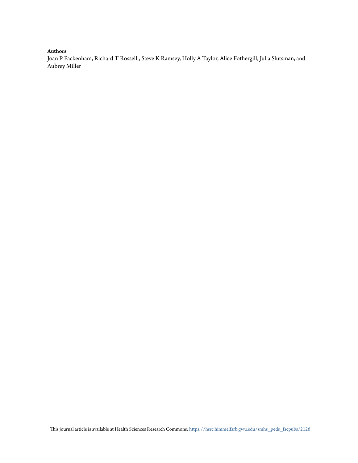#### **Authors**

Joan P Packenham, Richard T Rosselli, Steve K Ramsey, Holly A Taylor, Alice Fothergill, Julia Slutsman, and Aubrey Miller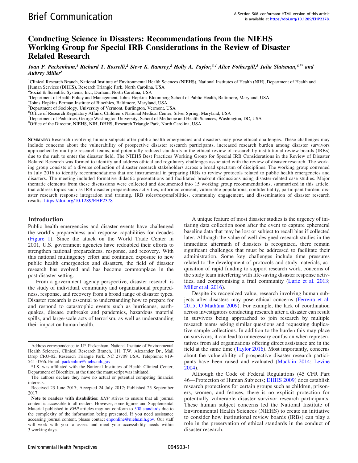## Conducting Science in Disasters: Recommendations from the NIEHS Working Group for Special IRB Considerations in the Review of Disaster Related Research

Joan P. Packenham,<sup>1</sup> Richard T. Rosselli,<sup>2</sup> Steve K. Ramsey,<sup>2</sup> Holly A. Taylor,<sup>3,4</sup> Alice Fothergill,<sup>5</sup> Julia Slutsman,<sup>6,7\*</sup> and Aubrey Miller8

<sup>1</sup>Clinical Research Branch, National Institute of Environmental Health Sciences (NIEHS), National Institutes of Health (NIH), Department of Health and Human Services (DHHS), Research Triangle Park, North Carolina, USA

2 Social & Scientific Systems, Inc., Durham, North Carolina, USA

3 Department of Health Policy and Management, Johns Hopkins Bloomberg School of Public Health, Baltimore, Maryland, USA

4 Johns Hopkins Berman Institute of Bioethics, Baltimore, Maryland, USA

5 Department of Sociology, University of Vermont, Burlington, Vermont, USA

<sup>6</sup> Office of Research Regulatory Affairs, Children's National Medical Center, Silver Spring, Maryland, USA 7<br><sup>7</sup> Department of Pediatrics, George Washinston University, School of Medicine and Health Sciences, Washi

<sup>7</sup>Department of Pediatrics, George Washington University, School of Medicine and Health Sciences, Washington, DC, USA

<sup>8</sup>Office of the Director, NIEHS, NIH, DHHS, Research Triangle Park, North Carolina, USA

SUMMARY: Research involving human subjects after public health emergencies and disasters may pose ethical challenges. These challenges may include concerns about the vulnerability of prospective disaster research participants, increased research burden among disaster survivors approached by multiple research teams, and potentially reduced standards in the ethical review of research by institutional review boards (IRBs) due to the rush to enter the disaster field. The NIEHS Best Practices Working Group for Special IRB Considerations in the Review of Disaster Related Research was formed to identify and address ethical and regulatory challenges associated with the review of disaster research. The working group consists of a diverse collection of disaster research stakeholders across a broad spectrum of disciplines. The working group convened in July 2016 to identify recommendations that are instrumental in preparing IRBs to review protocols related to public health emergencies and disasters. The meeting included formative didactic presentations and facilitated breakout discussions using disaster-related case studies. Major thematic elements from these discussions were collected and documented into 15 working group recommendations, summarized in this article, that address topics such as IRB disaster preparedness activities, informed consent, vulnerable populations, confidentiality, participant burden, disaster research response integration and training, IRB roles/responsibilities, community engagement, and dissemination of disaster research results. <https://doi.org/10.1289/EHP2378>

#### Introduction

Public health emergencies and disaster events have challenged the world's preparedness and response capabilities for decades [\(Figure 1](#page-3-0)). Since the attack on the World Trade Center in 2001, U.S. government agencies have redoubled their efforts to strengthen national preparedness, response, and recovery. With this national multiagency effort and continued exposure to new public health emergencies and disasters, the field of disaster research has evolved and has become commonplace in the post-disaster setting.

From a government agency perspective, disaster research is the study of individual, community and organizational preparedness, response, and recovery from a broad range of disaster types. Disaster research is essential to understanding how to prepare for and respond to catastrophic events such as hurricanes, earthquakes, disease outbreaks and pandemics, hazardous material spills, and large-scale acts of terrorism, as well as understanding their impact on human health.

A unique feature of most disaster studies is the urgency of initiating data collection soon after the event to capture ephemeral baseline data that may be lost or subject to recall bias if collected later. Although the value of well-designed research studies in the immediate aftermath of disasters is recognized, there remain significant challenges that must be addressed to facilitate their administration. Some key challenges include time pressures related to the development of protocols and study materials, acquisition of rapid funding to support research work, concerns of the study team interfering with life-saving disaster response activities, and compromising a frail community [\(Lurie et al. 2013](#page-7-0); [Miller et al. 2016\)](#page-7-1).

Despite its recognized value, research involving human subjects after disasters may pose ethical concerns [\(Ferreira et al.](#page-7-2) [2015](#page-7-2); O'[Mathúna 2009](#page-7-3)). For example, the lack of coordination across investigators conducting research after a disaster can result in survivors being approached to join research by multiple research teams asking similar questions and requesting duplicative sample collections. In addition to the burden this may place on survivors, it can lead to unnecessary confusion when representatives from aid organizations offering direct assistance are in the field at the same time ([Taylor 2016\)](#page-7-4). Most importantly, concerns about the vulnerability of prospective disaster research participants have been raised and evaluated ([Macklin 2014](#page-7-5); [Levine](#page-7-6) [2004](#page-7-6)).

Although the Code of Federal Regulations (45 CFR Part 46—Protection of Human Subjects; [DHHS 2009](#page-7-7)) does establish research protections for certain groups such as children, prisoners, women, and fetuses, there is no explicit protection for potentially vulnerable disaster survivor research participants. These human subject concerns led the National Institute of Environmental Health Sciences (NIEHS) to create an initiative to consider how institutional review boards (IRBs) can play a role in the preservation of ethical standards in the conduct of disaster research.

Address correspondence to J.P. Packenham, National Institute of Environmental Health Sciences, Clinical Research Branch, 111 T.W. Alexander Dr., Mail Drop CRU-02, Research Triangle Park, NC 27709 USA. Telephone: 919- 541-0766. Email: [packenhm@niehs.nih.gov](mailto:packenhm@niehs.nih.gov)

<sup>\*</sup>J.S. was affiliated with the National Institutes of Health Clinical Center, Department of Bioethics, at the time the manuscript was initiated.

The authors declare they have no actual or potential competing financial interests.

Received 23 June 2017; Accepted 24 July 2017; Published 25 September 2017.

Note to readers with disabilities: EHP strives to ensure that all journal content is accessible to all readers. However, some figures and Supplemental Material published in EHP articles may not conform to [508 standards](http://ehp.niehs.nih.gov/accessibility/) due to the complexity of the information being presented. If you need assistance accessing journal content, please contact [ehponline@niehs.nih.gov.](mailto:ehponline@niehs.nih.gov) Our staff will work with you to assess and meet your accessibility needs within 3 working days.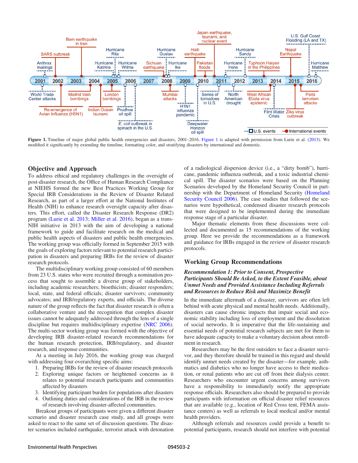<span id="page-3-0"></span>

Figure 1. Timeline of major global public health emergencies and disasters, 2001–2016. Figure 1 is adapted with permission from Lurie et al. [\(2013](#page-7-0)). We modified it significantly by extending the timeline, formatting color, and stratifying disasters by international and domestic.

#### Objective and Approach

To address ethical and regulatory challenges in the oversight of post-disaster research, the Office of Human Research Compliance at NIEHS formed the new Best Practices Working Group for Special IRB Considerations in the Review of Disaster Related Research, as part of a larger effort at the National Institutes of Health (NIH) to enhance research oversight capacity after disasters. This effort, called the Disaster Research Response (DR2) program [\(Lurie et al. 2013](#page-7-0); [Miller et al. 2016\)](#page-7-1), began as a trans-NIH initiative in 2013 with the aim of developing a national framework to guide and facilitate research on the medical and public health aspects of disasters and public health emergencies. The working group was officially formed in September 2015 with the goals of exploring factors relevant to potential research participation in disasters and preparing IRBs for the review of disaster research protocols.

The multidisciplinary working group consisted of 60 members from 23 U.S. states who were recruited through a nomination process that sought to assemble a diverse group of stakeholders, including academic researchers; bioethicists; disaster responders; local, state, and federal officials; disaster survivors; community advocates; and IRB/regulatory experts, and officials. The diverse nature of the group reflects the fact that disaster research is often a collaborative venture and the recognition that complex disaster issues cannot be adequately addressed through the lens of a single discipline but requires multidisciplinary expertise [\(NRC 2006](#page-7-8)). The multi-sector working group was formed with the objective of developing IRB disaster-related research recommendations for the human research protection, IRB/regulatory, and disaster research, and response communities.

At a meeting in July 2016, the working group was charged with addressing four overarching specific aims:

- 1. Preparing IRBs for the review of disaster research protocols
- 2. Exploring unique factors or heightened concerns as it relates to potential research participants and communities affected by disasters
- 3. Identifying participant burden for populations after disasters
- 4. Outlining duties and considerations of the IRB in the review of research involving disaster-affected communities.

Breakout groups of participants were given a different disaster scenario and disaster research case study, and all groups were asked to react to the same set of discussion questions. The disaster scenarios included earthquake, terrorist attack with detonation of a radiological dispersion device (i.e., a "dirty bomb"), hurricane, pandemic influenza outbreak, and a toxic industrial chemical spill. The disaster scenarios were based on the Planning Scenarios developed by the Homeland Security Council in partnership with the Department of Homeland Security ([Homeland](#page-7-9) [Security Council 2006](#page-7-9)). The case studies that followed the scenarios were hypothetical, condensed disaster research protocols that were designed to be implemented during the immediate response stage of a particular disaster.

Major thematic elements from these discussions were collected and documented as 15 recommendations of the working group. Here we provide the recommendations as a framework and guidance for IRBs engaged in the review of disaster research protocols.

#### Working Group Recommendations

#### Recommendation 1: Prior to Consent, Prospective Participants Should Be Asked, to the Extent Feasible, about Unmet Needs and Provided Assistance Including Referrals and Resources to Reduce Risk and Maximize Benefit

In the immediate aftermath of a disaster, survivors are often left behind with acute physical and mental health needs. Additionally, disasters can cause chronic impacts that impair social and economic stability including loss of employment and the dissolution of social networks. It is imperative that the life-sustaining and essential needs of potential research subjects are met for them to have adequate capacity to make a voluntary decision about enrollment in research.

Researchers may be the first outsiders to face a disaster survivor, and they therefore should be trained in this regard and should identify unmet needs created by the disaster—for example, asthmatics and diabetics who no longer have access to their medication, or renal patients who are cut off from their dialysis center. Researchers who encounter urgent concerns among survivors have a responsibility to immediately notify the appropriate response officials. Researchers also should be prepared to provide participants with information on official disaster relief resources that are available (e.g., location of Red Cross tent, FEMA assistance centers) as well as referrals to local medical and/or mental health providers.

Although referrals and resources could provide a benefit to potential participants, research should not interfere with potential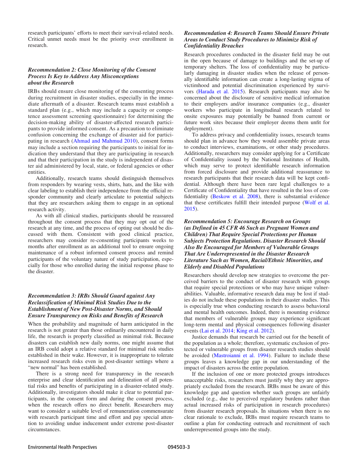research participants' efforts to meet their survival-related needs. Critical unmet needs must be the priority over enrollment in research.

#### Recommendation 2: Close Monitoring of the Consent Process Is Key to Address Any Misconceptions about the Research

IRBs should ensure close monitoring of the consenting process during recruitment in disaster studies, especially in the immediate aftermath of a disaster. Research teams must establish a standard plan (e.g., which may include a capacity or competence assessment screening questionnaire) for determining the decision-making ability of disaster-affected research participants to provide informed consent. As a precaution to eliminate confusion concerning the exchange of disaster aid for participating in research ([Ahmad and Mahmud 2010](#page-7-10)), consent forms may include a section requiring the participants to initial for indication they understand that they are participating in research and that their participation in the study is independent of disaster aid administered by local, state, or federal agencies or other entities.

Additionally, research teams should distinguish themselves from responders by wearing vests, shirts, hats, and the like with clear labeling to establish their independence from the official responder community and clearly articulate to potential subjects that they are researchers asking them to engage in an optional research activity.

As with all clinical studies, participants should be reassured throughout the consent process that they may opt out of the research at any time, and the process of opting out should be discussed with them. Consistent with good clinical practice, researchers may consider re-consenting participants weeks to months after enrollment as an additional tool to ensure ongoing maintenance of a robust informed consent process and remind participants of the voluntary nature of study participation, especially for those who enrolled during the initial response phase to the disaster.

#### Recommendation 3: IRBs Should Guard against Any Reclassification of Minimal Risk Studies Due to the Establishment of New Post-Disaster Norms, and Should Ensure Transparency on Risks and Benefits of Research

When the probability and magnitude of harm anticipated in the research is not greater than those ordinarily encountered in daily life, the research is properly classified as minimal risk. Because disasters can establish new daily norms, one might assume that an IRB could adopt a relative standard for minimal risk studies established in their wake. However, it is inappropriate to tolerate increased research risks even in post-disaster settings where a "new normal" has been established.

There is a strong need for transparency in the research enterprise and clear identification and delineation of all potential risks and benefits of participating in a disaster-related study. Additionally, investigators should make it clear to potential participants, in the consent form and during the consent process, when the research offers no direct benefit. Researchers may want to consider a suitable level of remuneration commensurate with research participant time and effort and pay special attention to avoiding undue inducement under extreme post-disaster circumstances.

#### Recommendation 4: Research Teams Should Ensure Private Areas to Conduct Study Procedures to Minimize Risk of Confidentiality Breaches

Research procedures conducted in the disaster field may be out in the open because of damage to buildings and the set-up of temporary shelters. The loss of confidentiality may be particularly damaging in disaster studies when the release of personally identifiable information can create a long-lasting stigma of victimhood and potential discrimination experienced by survivors [\(Harada et al. 2015\)](#page-7-11). Research participants may also be concerned about the disclosure of sensitive medical information to their employers and/or insurance companies (e.g., disaster workers who participate in longitudinal research related to onsite exposures may potentially be banned from current or future work sites because their employer deems them unfit for deployment).

To address privacy and confidentiality issues, research teams should plan in advance how they would assemble private areas to conduct interviews, examinations, or other study procedures. Additionally, researchers may consider applying for a Certificate of Confidentiality issued by the National Institutes of Health, which may serve to protect identifiable research information from forced disclosure and provide additional reassurance to research participants that their research data will be kept confidential. Although there have been rare legal challenges to a Certificate of Confidentiality that have resulted in the loss of confidentiality [\(Beskow et al. 2008\)](#page-7-12), there is substantial evidence that these certificates fulfill their intended purpose ([Wolf et al.](#page-7-13) [2015](#page-7-13)).

#### Recommendation 5: Encourage Research on Groups (as Defined in 45 CFR 46 Such as Pregnant Women and Children) That Require Special Protections per Human Subjects Protection Regulations. Disaster Research Should Also Be Encouraged for Members of Vulnerable Groups That Are Underrepresented in the Disaster Research Literature Such as Women, Racial/Ethnic Minorities, and Elderly and Disabled Populations

Researchers should develop new strategies to overcome the perceived barriers to the conduct of disaster research with groups that require special protections or who may have unique vulnerabilities. Valuable, informative research data may be lost if studies do not include these populations in their disaster studies. This is especially true when conducting research to assess behavioral and mental health outcomes. Indeed, there is mounting evidence that members of vulnerable groups may experience significant long-term mental and physical consequences following disaster events ([Lai et al. 2014](#page-7-14); [King et al. 2012\)](#page-7-15).

Justice demands that research be carried out for the benefit of the population as a whole; therefore, systematic exclusion of protected or vulnerable groups from disaster research studies should be avoided ([Mastroianni et al. 1994\)](#page-7-16). Failure to include these groups leaves a knowledge gap in our understanding of the impact of disasters across the entire population.

If the inclusion of one or more protected groups introduces unacceptable risks, researchers must justify why they are appropriately excluded from the research. IRBs must be aware of this knowledge gap and question whether such groups are unfairly excluded (e.g., due to perceived regulatory burdens rather than actual increased risks of participation in research procedures) from disaster research proposals. In situations when there is no clear rationale to exclude, IRBs must require research teams to outline a plan for conducting outreach and recruitment of such underrepresented groups into the study.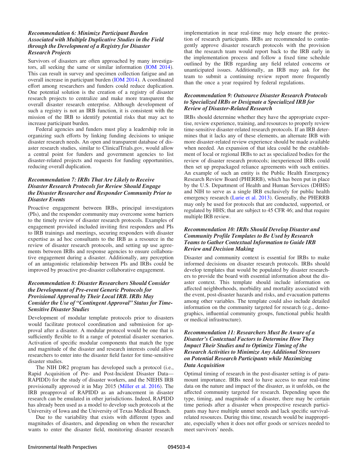#### Recommendation 6: Minimize Participant Burden Associated with Multiple Duplicative Studies in the Field through the Development of a Registry for Disaster Research Projects

Survivors of disasters are often approached by many investigators, all seeking the same or similar information ([IOM 2014](#page-7-17)). This can result in survey and specimen collection fatigue and an overall increase in participant burden [\(IOM 2014\)](#page-7-17). A coordinated effort among researchers and funders could reduce duplication. One potential solution is the creation of a registry of disaster research projects to centralize and make more transparent the overall disaster research enterprise. Although development of such a registry is not an IRB function, it is consistent with the mission of the IRB to identify potential risks that may act to increase participant burden.

Federal agencies and funders must play a leadership role in organizing such efforts by linking funding decisions to unique disaster research needs. An open and transparent database of disaster research studies, similar to ClinicalTrials.gov, would allow a central point for funders and government agencies to list disaster-related projects and requests for funding opportunities, reducing overall duplication.

#### Recommendation 7: IRBs That Are Likely to Receive Disaster Research Protocols for Review Should Engage the Disaster Researcher and Responder Community Prior to Disaster Events

Proactive engagement between IRBs, principal investigators (PIs), and the responder community may overcome some barriers to the timely review of disaster research protocols. Examples of engagement provided included inviting first responders and PIs to IRB trainings and meetings, securing responders with disaster expertise as ad hoc consultants to the IRB as a resource in the review of disaster research protocols, and setting up use agreements between IRBs and response agencies to ensure collaborative engagement during a disaster. Additionally, any perception of an antagonistic relationship between PIs and IRBs could be improved by proactive pre-disaster collaborative engagement.

#### Recommendation 8: Disaster Researchers Should Consider the Development of Pre-event Generic Protocols for Provisional Approval by Their Local IRB. IRBs May Consider the Use of "Contingent Approval" Status for Time-Sensitive Disaster Studies

Development of modular template protocols prior to disasters would facilitate protocol coordination and submission for approval after a disaster. A modular protocol would be one that is sufficiently flexible to fit a range of potential disaster scenarios. Activation of specific modular components that match the type and magnitude of the disaster and research interests could allow researchers to enter into the disaster field faster for time-sensitive disaster studies.

The NIH DR2 program has developed such a protocol (i.e., Rapid Acquisition of Pre- and Post-Incident Disaster Data— RAPIDD) for the study of disaster workers, and the NIEHS IRB provisionally approved it in May 2015 ([Miller et al. 2016](#page-7-1)). The IRB preapproval of RAPIDD as an advancement in disaster research can be emulated in other jurisdictions. Indeed, RAPIDD has already been used as a model to develop such protocols at the University of Iowa and the University of Texas Medical Branch.

Due to the variability that exists with different types and magnitudes of disasters, and depending on when the researcher wants to enter the disaster field, monitoring disaster research

implementation in near real-time may help ensure the protection of research participants. IRBs are recommended to contingently approve disaster research protocols with the provision that the research team would report back to the IRB early in the implementation process and follow a fixed time schedule outlined by the IRB regarding any field related concerns or unanticipated issues. Additionally, an IRB may ask for the team to submit a continuing review report more frequently than the once a year required by federal regulations.

#### Recommendation 9: Outsource Disaster Research Protocols to Specialized IRBs or Designate a Specialized IRB for Review of Disaster-Related Research

IRBs should determine whether they have the appropriate expertise, review experience, training, and resources to properly review time-sensitive disaster-related research protocols. If an IRB determines that it lacks any of these elements, an alternate IRB with more disaster-related review experience should be made available when needed. An expansion of that idea could be the establishment of local or regional IRBs to act as specialized bodies for the review of disaster research protocols; inexperienced IRBs could then set up prepackaged reliance agreements with such entities. An example of such an entity is the Public Health Emergency Research Review Board (PHERRB), which has been put in place by the U.S. Department of Health and Human Services (DHHS) and NIH to serve as a single IRB exclusively for public health emergency research [\(Lurie et al. 2013](#page-7-0)). Generally, the PHERRB may only be used for protocols that are conducted, supported, or regulated by HHS; that are subject to 45 CFR 46; and that require multiple IRB review.

#### Recommendation 10: IRBs Should Develop Disaster and Community Profile Templates to Be Used by Research Teams to Gather Contextual Information to Guide IRB Review and Decision Making

Disaster and community context is essential for IRBs to make informed decisions on disaster research protocols. IRBs should develop templates that would be populated by disaster researchers to provide the board with essential information about the disaster context. This template should include information on affected neighborhoods, morbidity and mortality associated with the event, post-disaster hazards and risks, and evacuation patterns among other variables. The template could also include detailed information on the community targeted for research (e.g., demographics, influential community groups, functional public health or medical infrastructure).

#### Recommendation 11: Researchers Must Be Aware of a Disaster's Contextual Factors to Determine How They Impact Their Studies and to Optimize Timing of the Research Activities to Minimize Any Additional Stressors on Potential Research Participants while Maximizing Data Acquisition

Optimal timing of research in the post-disaster setting is of paramount importance. IRBs need to have access to near real-time data on the nature and impact of the disaster, as it unfolds, on the affected community targeted for research. Depending upon the type, timing, and magnitude of a disaster, there may be certain time periods after a disaster when prospective research participants may have multiple unmet needs and lack specific survivalrelated resources. During this time, research would be inappropriate, especially when it does not offer goods or services needed to meet survivors' needs.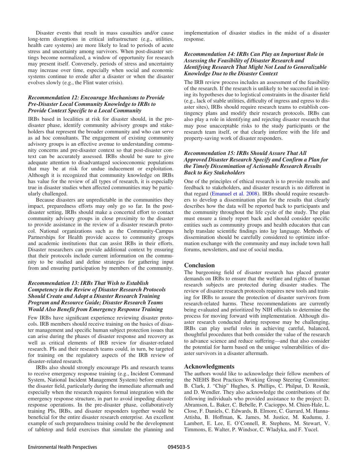Disaster events that result in mass casualties and/or cause long-term disruptions in critical infrastructure (e.g., utilities, health care systems) are more likely to lead to periods of acute stress and uncertainty among survivors. When post-disaster settings become normalized, a window of opportunity for research may present itself. Conversely, periods of stress and uncertainty may increase over time, especially when social and economic systems continue to erode after a disaster or when the disaster evolves slowly (e.g., the Flint water crisis).

#### Recommendation 12: Encourage Mechanisms to Provide Pre-Disaster Local Community Knowledge to IRBs to Provide Context Specific to a Local Community

IRBs based in localities at risk for disaster should, in the predisaster phase, identify community advisory groups and stakeholders that represent the broader community and who can serve as ad hoc consultants. The engagement of existing community advisory groups is an effective avenue to understanding community concerns and pre-disaster context so that post-disaster context can be accurately assessed. IRBs should be sure to give adequate attention to disadvantaged socioeconomic populations that may be at risk for undue inducement or exploitation. Although it is recognized that community knowledge on IRBs has value for the review of all types of research, it is especially true in disaster studies when affected communities may be particularly challenged.

Because disasters are unpredictable in the communities they impact, preparedness efforts may only go so far. In the postdisaster setting, IRBs should make a concerted effort to contact community advisory groups in close proximity to the disaster to provide assistance in the review of a disaster research protocol. National organizations such as the Community-Campus Partnerships for Health provide access to community groups and academic institutions that can assist IRBs in their efforts. Disaster researchers can provide additional context by ensuring that their protocols include current information on the community to be studied and define strategies for gathering input from and ensuring participation by members of the community.

#### Recommendation 13: IRBs That Wish to Establish Competency in the Review of Disaster Research Protocols Should Create and Adopt a Disaster Research Training Program and Resource Guide; Disaster Research Teams Would Also Benefit from Emergency Response Training

Few IRBs have significant experience reviewing disaster protocols. IRB members should receive training on the basics of disaster management and specific human subject protection issues that can arise during the phases of disaster response and recovery as well as critical elements of IRB review for disaster-related research. PIs and their research teams could, in turn, be targeted for training on the regulatory aspects of the IRB review of disaster-related research.

IRBs also should strongly encourage PIs and research teams to receive emergency response training (e.g., Incident Command System, National Incident Management System) before entering the disaster field, particularly during the immediate aftermath and especially when the research requires formal integration with the emergency response structure, in part to avoid impeding disaster response operations. In the pre-disaster phase, collaboratively training PIs, IRBs, and disaster responders together would be beneficial for the entire disaster research enterprise. An excellent example of such preparedness training could be the development of tabletop and field exercises that simulate the planning and

implementation of disaster studies in the midst of a disaster response.

#### Recommendation 14: IRBs Can Play an Important Role in Assessing the Feasibility of Disaster Research and Identifying Research That Might Not Lead to Generalizable Knowledge Due to the Disaster Context

The IRB review process includes an assessment of the feasibility of the research. If the research is unlikely to be successful in testing its hypotheses due to logistical constraints in the disaster field (e.g., lack of stable utilities, difficulty of ingress and egress to disaster sites), IRBs should require research teams to establish contingency plans and modify their research protocols. IRBs can also play a role in identifying and rejecting disaster research that may pose unacceptable risks to the study participants or the research team itself, or that clearly interfere with the life and property-saving work of disaster responders.

#### Recommendation 15: IRBs Should Assure That All Approved Disaster Research Specify and Confirm a Plan for the Timely Dissemination of Actionable Research Results Back to Key Stakeholders

One of the principles of ethical research is to provide results and feedback to stakeholders, and disaster research is no different in that regard [\(Emanuel et al. 2008](#page-7-18)). IRBs should require researchers to develop a dissemination plan for the results that clearly describes how the data will be reported back to participants and the community throughout the life cycle of the study. The plan must ensure a timely report back and should consider specific entities such as community groups and health educators that can help translate scientific findings into lay language. Methods of dissemination should be carefully considered to optimize information exchange with the community and may include town hall forums, newsletters, and use of social media.

### **Conclusion**

The burgeoning field of disaster research has placed greater demands on IRBs to ensure that the welfare and rights of human research subjects are protected during disaster studies. The review of disaster research protocols requires new tools and training for IRBs to assure the protection of disaster survivors from research-related harms. These recommendations are currently being evaluated and prioritized by NIH officials to determine the process for moving forward with implementation. Although disaster research conducted during response may be challenging, IRBs can play useful roles in achieving careful, balanced, thoughtful procedures that both consider the value of the research to advance science and reduce suffering—and that also consider the potential for harm based on the unique vulnerabilities of disaster survivors in a disaster aftermath.

#### Acknowledgments

The authors would like to acknowledge their fellow members of the NIEHS Best Practices Working Group Steering Committee: B. Clark, J. "Chip" Hughes, S. Phillips, C. Philput, D. Resnik, and D. Wendler. They also acknowledge the contributions of the following individuals who provided assistance to the project: D. Abramson, L. Baker, C. Bebelle, P. Cacioppo, M. Chien-Hale, L. Close, F. Daniels, C. Edwards, B. Elmore, C. Garrard, M. Hanna-Attisha, B. Hoffman, K. James, M. Justice, M. Kudumu, J. Lambert, E. Lee, E. O'Connell, R. Stephens, M. Stewart, V. Timmons, E. Walter, P. Windsor, C. Wladyka, and F. Yucel.